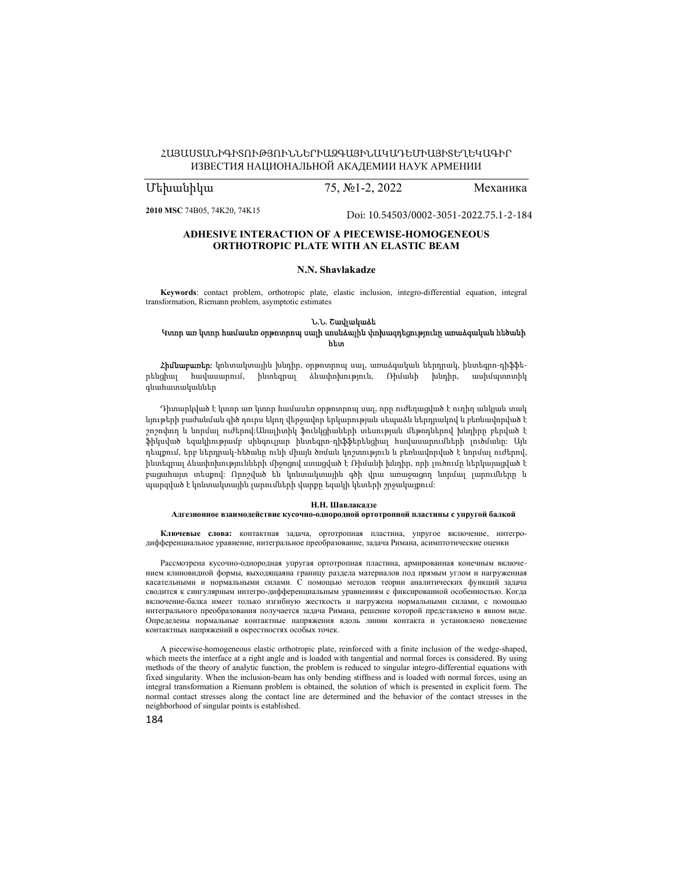# ՀԱՅԱՍՏԱՆԻԳԻՏՈՒԹՅՈՒՆՆԵՐԻԱԶԳԱՅԻՆԱԿԱԴԵՄԻԱՅԻՏԵՂԵԿԱԳԻՐ ИЗВЕСТИЯ НАЦИОНАЛЬНОЙ АКАДЕМИИ НАУК АРМЕНИИ

# Մեխանիկա 75, №1-2, 2022 Механика

2010 MSC 74B05, 74K20, 74K15

[Doi: 10.54503/0002-3051-2022.75.1-2-184](https://doi.org/10.54503/0002-3051-2022.75.1-2-184)

# ADHESIVE INTERACTION OF A PIECEWISE-HOMOGENEOUS ORTHOTROPIC PLATE WITH AN ELASTIC BEAM

### N.N. Shavlakadze

Keywords: contact problem, orthotropic plate, elastic inclusion, integro-differential equation, integral transformation, Riemann problem, asymptotic estimates

### Ն.Ն. Շավլակաձե Կտոր առ կտոր համասեռ օրթոտրոպ սալի սոսնձային փոխազդեցությունը առաձգական հեծանի հետ

Հիմնաբառեր: կոնտակտային խնդիր, օրթոտրոպ սալ, առաձգական ներդրակ, ինտեգրո-դիֆֆերենցիալ հավասարում, ինտեգրալ ձևափոխություն, Ռիմանի խնդիր, ասիմպտոտիկ գնահատականներ

Դիտարկված է կտոր առ կտոր համասեռ օրթոտրոպ սալ, որը ուժեղացված է ուղիղ անկյան տակ նյութերի բաժանման գիծ դուրս եկող վերջավոր երկարության սեպաձև ներդրակով և բեռնավորված է շոշոփող և նորմալ ուժերով:Անալիտիկ ֆունկցիաների տեսության մեթոդներով խնդիրը բերված է ֆիկսված եզակիությամբ սինգուլյար ինտեգրո-դիֆֆերենցիալ հավասարումների լուծմանը: Այն դեպքում, երբ ներդրակ-հեծանը ունի միայն ծռման կոշտություն և բեռնավորված է նորմալ ուժերով, ինտեգրալ ձևափոխությունների միջոցով ստացված է Ռիմանի խնդիր, որի լուծումը ներկայացված է բացահայտ տեսքով: Որոշված են կոնտակտային գծի վրա առաջացող նորմալ լարումները և պարզված է կոնտակտային լարումների վարքը եզակի կետերի շրջակայքում:

#### Н.Н. Шавлакадзе

# Адгезионное взаимодействие кусочно-однородной ортотропной пластины с упругой балкой

Ключевые слова: контактная задача, ортотропная пластина, упругое включение, интегродифференциальное уравнение, интегральное преобразование, задача Римана, асимптотические оценки

Рассмотрена кусочно-однородная упругая ортотропная пластина, армированная конечным включением клиновидной формы, выходящаяна границу раздела материалов под прямым углом и нагруженная касательными и нормальными силами. С помощью методов теории аналитических функций задача сводится к сингулярным интегро-дифференциальным уравнениям с фиксированной особенностью. Когда включение-балка имеет только изгибную жесткость и нагружена нормальными силами, с помощью интегрального преобразования получается задача Римана, решение которой представлено в явном виде. Определены нормальные контактные напряжения вдоль линии контакта и установлено поведение контактных напряжений в окрестностях особых точек.

A piecewise-homogeneous elastic orthotropic plate, reinforced with a finite inclusion of the wedge-shaped, which meets the interface at a right angle and is loaded with tangential and normal forces is considered. By using methods of the theory of analytic function, the problem is reduced to singular integro-differential equations with fixed singularity. When the inclusion-beam has only bending stiffness and is loaded with normal forces, using an integral transformation a Riemann problem is obtained, the solution of which is presented in explicit form. The normal contact stresses along the contact line are determined and the behavior of the contact stresses in the neighborhood of singular points is established.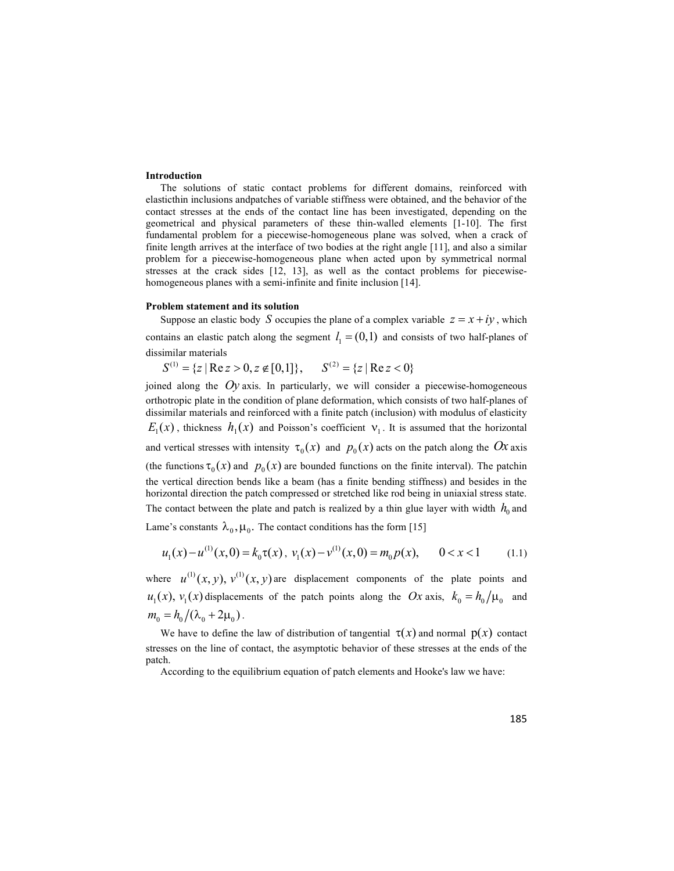### Introduction

The solutions of static contact problems for different domains, reinforced with elasticthin inclusions andpatches of variable stiffness were obtained, and the behavior of the contact stresses at the ends of the contact line has been investigated, depending on the geometrical and physical parameters of these thin-walled elements [1-10]. The first fundamental problem for a piecewise-homogeneous plane was solved, when a crack of finite length arrives at the interface of two bodies at the right angle [11], and also a similar problem for a piecewise-homogeneous plane when acted upon by symmetrical normal stresses at the crack sides [12, 13], as well as the contact problems for piecewisehomogeneous planes with a semi-infinite and finite inclusion [14].

### Problem statement and its solution

Suppose an elastic body S occupies the plane of a complex variable  $z = x + iy$ , which contains an elastic patch along the segment  $l_1 = (0,1)$  and consists of two half-planes of dissimilar materials

 $S^{(1)} = \{z \mid \text{Re } z > 0, z \notin [0,1]\}, \quad S^{(2)} = \{z \mid \text{Re } z < 0\}$ 

joined along the  $Oy$  axis. In particularly, we will consider a piecewise-homogeneous orthotropic plate in the condition of plane deformation, which consists of two half-planes of dissimilar materials and reinforced with a finite patch (inclusion) with modulus of elasticity  $E_1(x)$ , thickness  $h_1(x)$  and Poisson's coefficient  $v_1$ . It is assumed that the horizontal and vertical stresses with intensity  $\tau_0 ( x )$  and  $p_0 ( x )$  acts on the patch along the  $\emph{Ox}$  axis (the functions  $\tau_0(x)$  and  $p_0(x)$  are bounded functions on the finite interval). The patchin the vertical direction bends like a beam (has a finite bending stiffness) and besides in the horizontal direction the patch compressed or stretched like rod being in uniaxial stress state. The contact between the plate and patch is realized by a thin glue layer with width  $h_0$  and Lame's constants  $\lambda_0$ ,  $\mu_0$ . The contact conditions has the form [15]

$$
u_1(x) - u^{(1)}(x,0) = k_0 \tau(x), \ v_1(x) - v^{(1)}(x,0) = m_0 p(x), \qquad 0 < x < 1 \tag{1.1}
$$

where  $u^{(1)}(x, y)$ ,  $v^{(1)}(x, y)$  are displacement components of the plate points and  $u_1(x)$ ,  $v_1(x)$  displacements of the patch points along the Ox axis,  $k_0 = h_0 / \mu_0$  and  $m_0 = h_0 / (\lambda_0 + 2 \mu_0)$ .

We have to define the law of distribution of tangential  $\tau(x)$  and normal  $p(x)$  contact stresses on the line of contact, the asymptotic behavior of these stresses at the ends of the patch.

According to the equilibrium equation of patch elements and Hooke's law we have: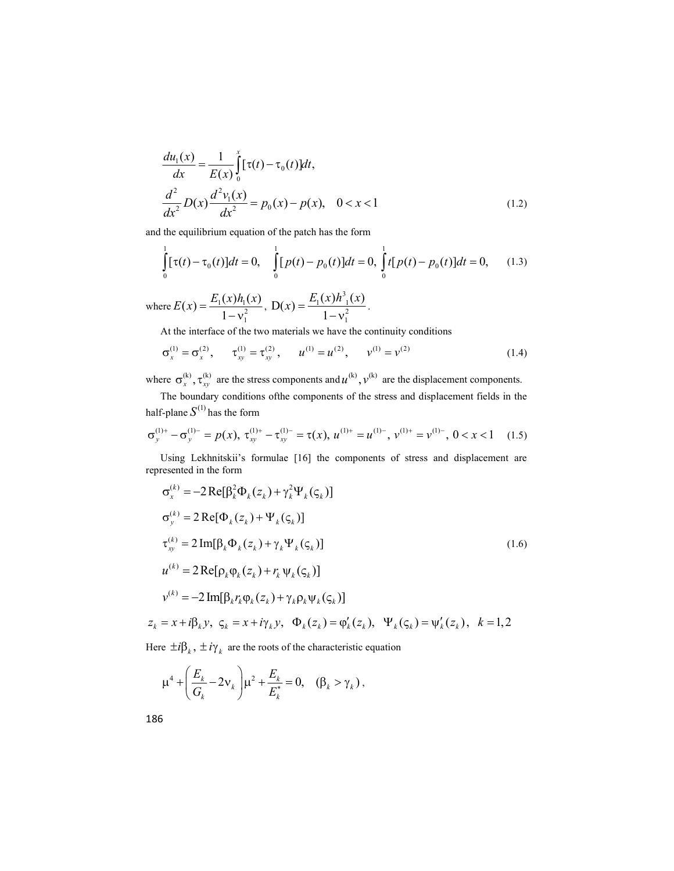$$
\frac{du_1(x)}{dx} = \frac{1}{E(x)} \int_0^x [\tau(t) - \tau_0(t)] dt,
$$
\n
$$
\frac{d^2}{dx^2} D(x) \frac{d^2 v_1(x)}{dx^2} = p_0(x) - p(x), \quad 0 < x < 1
$$
\n(1.2)

and the equilibrium equation of the patch has the form

$$
\int_{0}^{1} [\tau(t) - \tau_0(t)]dt = 0, \quad \int_{0}^{1} [p(t) - p_0(t)]dt = 0, \quad \int_{0}^{1} t[p(t) - p_0(t)]dt = 0, \quad (1.3)
$$

where  $E(x) = \frac{E_1(x)h_1(x)}{1 - v_1^2}$  $E(x) = \frac{E_1(x)h_1(x)}{1 - v_1^2}$ , 1  $\frac{\frac{\nu}{\nu_1} \cdot \nu_2}{\nu_1^2},$  $\frac{\int_1^1 (x) h_{-1}^3 (x)}{1 - v_1^2}$  $D(x) = \frac{E_1(x)h_{1}^{3}(x)}{h_{2}^{3}(x)}$ . 1  $x$ ) =  $\frac{E_1(x)h_{1}^{3}(x)}{1-v_1^{2}}$ .

At the interface of the two materials we have the continuity conditions

$$
\sigma_x^{(1)} = \sigma_x^{(2)}, \qquad \tau_{xy}^{(1)} = \tau_{xy}^{(2)}, \qquad u^{(1)} = u^{(2)}, \qquad v^{(1)} = v^{(2)}
$$
(1.4)

where  $\sigma_x^{(k)}$ ,  $\tau_{xy}^{(k)}$  are the stress components and  $u^{(k)}$ ,  $v^{(k)}$  are the displacement components.

The boundary conditions ofthe components of the stress and displacement fields in the half-plane  $S^{(1)}$  has the form

$$
\sigma_{y}^{(1)+} - \sigma_{y}^{(1)-} = p(x), \ \tau_{xy}^{(1)+} - \tau_{xy}^{(1)-} = \tau(x), \ u^{(1)+} = u^{(1)-}, \ v^{(1)+} = v^{(1)-}, \ 0 < x < 1 \tag{1.5}
$$

Using Lekhnitskii's formulae [16] the components of stress and displacement are represented in the form

$$
\sigma_x^{(k)} = -2 \operatorname{Re}[\beta_k^2 \Phi_k(z_k) + \gamma_k^2 \Psi_k(\varsigma_k)]
$$
  
\n
$$
\sigma_y^{(k)} = 2 \operatorname{Re}[\Phi_k(z_k) + \Psi_k(\varsigma_k)]
$$
  
\n
$$
\tau_{xy}^{(k)} = 2 \operatorname{Im}[\beta_k \Phi_k(z_k) + \gamma_k \Psi_k(\varsigma_k)]
$$
  
\n
$$
u^{(k)} = 2 \operatorname{Re}[\rho_k \phi_k(z_k) + r_k \Psi_k(\varsigma_k)]
$$
  
\n
$$
v^{(k)} = -2 \operatorname{Im}[\beta_k r_k \phi_k(z_k) + \gamma_k \rho_k \Psi_k(\varsigma_k)]
$$
  
\n
$$
z_k = x + i\beta_k y, \varsigma_k = x + i\gamma_k y, \Phi_k(z_k) = \phi'_k(z_k), \Psi_k(\varsigma_k) = \psi'_k(z_k), \ k = 1, 2
$$
\n(1.6)

Here  $\pm i\beta_k$ ,  $\pm i\gamma_k$  are the roots of the characteristic equation

$$
\mu^4 + \left(\frac{E_k}{G_k} - 2v_k\right)\mu^2 + \frac{E_k}{E_k^*} = 0, \quad (\beta_k > \gamma_k),
$$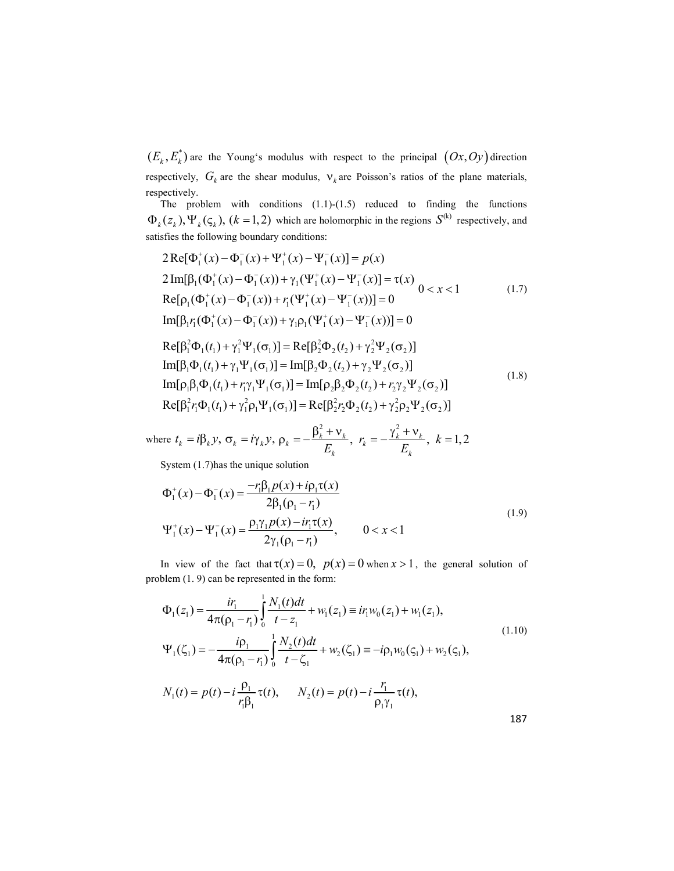$(E_{_k}, E_{_k}^*)$  are the Young's modulus with respect to the principal  $( Ox, Oy)$  direction respectively,  $G_k$  are the shear modulus,  $v_k$  are Poisson's ratios of the plane materials, respectively.

The problem with conditions  $(1.1)-(1.5)$  reduced to finding the functions  $\Phi_k(z_k), \Psi_k(\varsigma_k), (k = 1, 2)$  which are holomorphic in the regions  $S^{(k)}$  respectively, and satisfies the following boundary conditions:

$$
2 \text{Re}[\Phi_{1}^{+}(x) - \Phi_{1}^{-}(x) + \Psi_{1}^{+}(x) - \Psi_{1}^{-}(x)] = p(x)
$$
  
\n
$$
2 \text{Im}[\beta_{1}(\Phi_{1}^{+}(x) - \Phi_{1}^{-}(x)) + \gamma_{1}(\Psi_{1}^{+}(x) - \Psi_{1}^{-}(x)] = \tau(x) \quad 0 < x < 1
$$
  
\n
$$
\text{Re}[\rho_{1}(\Phi_{1}^{+}(x) - \Phi_{1}^{-}(x)) + r_{1}(\Psi_{1}^{+}(x) - \Psi_{1}^{-}(x))] = 0
$$
  
\n
$$
\text{Im}[\beta_{1}r_{1}(\Phi_{1}^{+}(x) - \Phi_{1}^{-}(x)) + \gamma_{1}\rho_{1}(\Psi_{1}^{+}(x) - \Psi_{1}^{-}(x))] = 0
$$
  
\n
$$
\text{Re}[\beta_{1}^{2}\Phi_{1}(t_{1}) + \gamma_{1}^{2}\Psi_{1}(\sigma_{1})] = \text{Re}[\beta_{2}^{2}\Phi_{2}(t_{2}) + \gamma_{2}^{2}\Psi_{2}(\sigma_{2})]
$$
  
\n
$$
\text{Im}[\beta_{1}\Phi_{1}(t_{1}) + \gamma_{1}\Psi_{1}(\sigma_{1})] = \text{Im}[\beta_{2}\Phi_{2}(t_{2}) + \gamma_{2}\Psi_{2}(\sigma_{2})]
$$
  
\n
$$
\text{Im}[\rho_{1}\beta_{1}\Phi_{1}(t_{1}) + r_{1}\gamma_{1}\Psi_{1}(\sigma_{1})] = \text{Im}[\rho_{2}\beta_{2}\Phi_{2}(t_{2}) + r_{2}\gamma_{2}\Psi_{2}(\sigma_{2})]
$$
  
\n
$$
\text{Re}[\beta_{1}^{2}r_{1}\Phi_{1}(t_{1}) + \gamma_{1}^{2}\rho_{1}\Psi_{1}(\sigma_{1})] = \text{Re}[\beta_{2}^{2}r_{2}\Phi_{2}(t_{2}) + \gamma_{2}^{2}\rho_{2}\Psi_{2}(\sigma_{2})]
$$
  
\n(1.8)

where 
$$
t_k = i\beta_k y
$$
,  $\sigma_k = i\gamma_k y$ ,  $\rho_k = -\frac{\beta_k^2 + v_k}{E_k}$ ,  $r_k = -\frac{\gamma_k^2 + v_k}{E_k}$ ,  $k = 1, 2$ 

System (1.7)has the unique solution

 $\overline{1}$ 

$$
\Phi_{1}^{+}(x) - \Phi_{1}^{-}(x) = \frac{-r_{1}\beta_{1}p(x) + i\rho_{1}\tau(x)}{2\beta_{1}(\rho_{1} - r_{1})}
$$
\n
$$
\Psi_{1}^{+}(x) - \Psi_{1}^{-}(x) = \frac{\rho_{1}\gamma_{1}p(x) - i r_{1}\tau(x)}{2\gamma_{1}(\rho_{1} - r_{1})}, \qquad 0 < x < 1
$$
\n(1.9)

In view of the fact that  $\tau(x) = 0$ ,  $p(x) = 0$  when  $x > 1$ , the general solution of problem (1. 9) can be represented in the form:

$$
\Phi_{1}(z_{1}) = \frac{i r_{1}}{4 \pi (\rho_{1} - r_{1})} \int_{0}^{1} \frac{N_{1}(t) dt}{t - z_{1}} + w_{1}(z_{1}) \equiv i r_{1} w_{0}(z_{1}) + w_{1}(z_{1}),
$$
\n
$$
\Psi_{1}(\zeta_{1}) = -\frac{i \rho_{1}}{4 \pi (\rho_{1} - r_{1})} \int_{0}^{1} \frac{N_{2}(t) dt}{t - \zeta_{1}} + w_{2}(\zeta_{1}) \equiv -i \rho_{1} w_{0}(\zeta_{1}) + w_{2}(\zeta_{1}),
$$
\n
$$
N_{1}(t) = p(t) - i \frac{\rho_{1}}{r_{1} \beta_{1}} \tau(t), \qquad N_{2}(t) = p(t) - i \frac{r_{1}}{\rho_{1} \gamma_{1}} \tau(t),
$$
\n187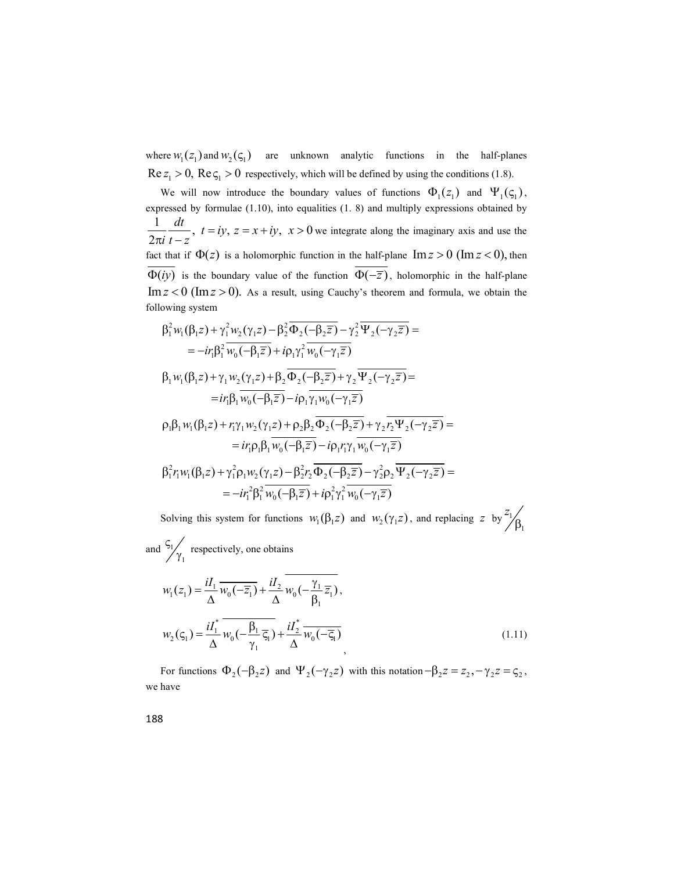where  $W_1(z_1)$  and  $W_2(\varsigma_1)$  are unknown analytic functions in the half-planes  $\text{Re } z_1 > 0$ ,  $\text{Re } \zeta_1 > 0$  respectively, which will be defined by using the conditions (1.8).

We will now introduce the boundary values of functions  $\Phi_1(z_1)$  and  $\Psi_1(\zeta_1)$ , expressed by formulae (1.10), into equalities (1. 8) and multiply expressions obtained by  $\frac{1}{t}$  dt  $\frac{dt}{t}$ ,  $t = iy$ ,  $z = x + iy$ ,  $x > 0$  we  $2:$  $\frac{dt}{t}$ ,  $t = iy$ ,  $z = x + iy$ ,  $x >$  $\frac{1}{i}$   $\frac{1}{t-z}$ ,  $= iy, z = x + iy, x > 0$  $\frac{\pi}{\pi i} \frac{\pi}{t - z}$ ,  $t = iy$ ,  $z = x + iy$ ,  $x > 0$  we integrate along the imaginary axis and use the fact that if  $\Phi(z)$  is a holomorphic function in the half-plane  $\text{Im } z > 0$  (Im  $z < 0$ ), then  $\overline{\Phi(iy)}$  is the boundary value of the function  $\overline{\Phi(-\overline{z})}$ , holomorphic in the half-plane  $\text{Im } z < 0$  ( $\text{Im } z > 0$ ). As a result, using Cauchy's theorem and formula, we obtain the following system

$$
\beta_1^2 w_1(\beta_1 z) + \gamma_1^2 w_2(\gamma_1 z) - \beta_2^2 \overline{\Phi}_2(-\beta_2 \overline{z}) - \gamma_2^2 \overline{\Psi}_2(-\gamma_2 \overline{z}) =
$$
\n
$$
= -ir_1 \beta_1^2 \overline{w_0(-\beta_1 \overline{z})} + i \rho_1 \gamma_1^2 \overline{w_0(-\gamma_1 \overline{z})}
$$
\n
$$
\beta_1 w_1(\beta_1 z) + \gamma_1 w_2(\gamma_1 z) + \beta_2 \overline{\Phi}_2(-\beta_2 \overline{z}) + \gamma_2 \overline{\Psi}_2(-\gamma_2 \overline{z}) =
$$
\n
$$
= ir_1 \beta_1 \overline{w_0(-\beta_1 \overline{z})} - i \rho_1 \overline{\gamma_1 w_0(-\gamma_1 \overline{z})}
$$
\n
$$
\rho_1 \beta_1 w_1(\beta_1 z) + r_1 \gamma_1 w_2(\gamma_1 z) + \rho_2 \beta_2 \overline{\Phi}_2(-\beta_2 \overline{z}) + \gamma_2 \overline{r_2 \Psi}_2(-\gamma_2 \overline{z}) =
$$
\n
$$
= ir_1 \rho_1 \beta_1 \overline{w_0(-\beta_1 \overline{z})} - i \rho_1 r_1 \gamma_1 \overline{w_0(-\gamma_1 \overline{z})}
$$
\n
$$
\beta_1^2 r_1 w_1(\beta_1 z) + \gamma_1^2 \rho_1 w_2(\gamma_1 z) - \beta_2^2 r_2 \overline{\Phi}_2(-\beta_2 \overline{z}) - \gamma_2^2 \rho_2 \overline{\Psi}_2(-\gamma_2 \overline{z}) =
$$
\n
$$
= -ir_1^2 \beta_1^2 \overline{w_0(-\beta_1 \overline{z})} + i \rho_1^2 \gamma_1^2 \overline{w_0(-\gamma_1 \overline{z})}
$$

Solving this system for functions  $w_1(\beta_1 z)$  and  $w_2(\gamma_1 z)$ , and replacing z by  $\frac{z_1}{\beta_1}$  $\overline{z}_1$  $\beta_{1}$ 

and  $\frac{1}{2}$ 1  $\zeta_1$ respectively, one obtains  $\gamma_1$ 

$$
w_1(z_1) = \frac{iI_1}{\Delta} \overline{w_0(-\overline{z_1})} + \frac{iI_2}{\Delta} \overline{w_0(-\frac{\gamma_1}{\beta_1} \overline{z_1})},
$$
  

$$
w_2(\varsigma_1) = \frac{iI_1^*}{\Delta} \overline{w_0(-\frac{\beta_1}{\gamma_1} \overline{\varsigma_1})} + \frac{iI_2^*}{\Delta} \overline{w_0(-\overline{\varsigma_1})},
$$
(1.11)

For functions  $\Phi_2(-\beta_2 z)$  and  $\Psi_2(-\gamma_2 z)$  with this notation  $-\beta_2 z = z_2, -\gamma_2 z = \zeta_2$ , we have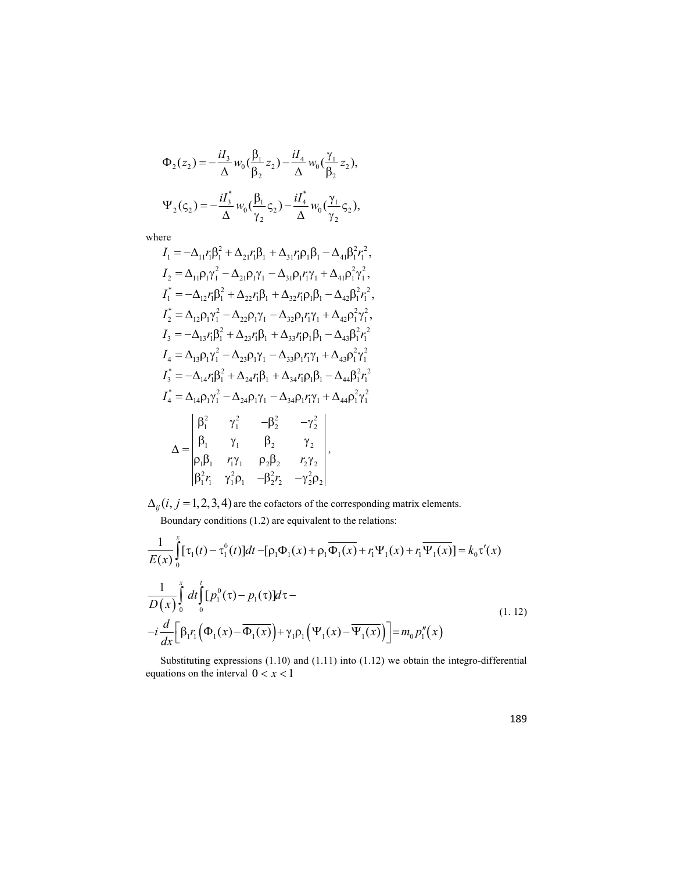$$
\Phi_2(z_2) = -\frac{iI_3}{\Delta} w_0 \left(\frac{\beta_1}{\beta_2} z_2\right) - \frac{iI_4}{\Delta} w_0 \left(\frac{\gamma_1}{\beta_2} z_2\right),
$$
  

$$
\Psi_2(\varsigma_2) = -\frac{iI_3^*}{\Delta} w_0 \left(\frac{\beta_1}{\gamma_2} \varsigma_2\right) - \frac{iI_4^*}{\Delta} w_0 \left(\frac{\gamma_1}{\gamma_2} \varsigma_2\right),
$$

where

$$
I_{1} = -\Delta_{11}r_{1}\beta_{1}^{2} + \Delta_{21}r_{1}\beta_{1} + \Delta_{31}r_{1}\rho_{1}\beta_{1} - \Delta_{41}\beta_{1}^{2}r_{1}^{2},
$$
  
\n
$$
I_{2} = \Delta_{11}\rho_{1}\gamma_{1}^{2} - \Delta_{21}\rho_{1}\gamma_{1} - \Delta_{31}\rho_{1}r_{1}\gamma_{1} + \Delta_{41}\rho_{1}^{2}\gamma_{1}^{2},
$$
  
\n
$$
I_{1}^{*} = -\Delta_{12}r_{1}\beta_{1}^{2} + \Delta_{22}r_{1}\beta_{1} + \Delta_{32}r_{1}\rho_{1}\beta_{1} - \Delta_{42}\beta_{1}^{2}r_{1}^{2},
$$
  
\n
$$
I_{2}^{*} = \Delta_{12}\rho_{1}\gamma_{1}^{2} - \Delta_{22}\rho_{1}\gamma_{1} - \Delta_{32}\rho_{1}r_{1}\gamma_{1} + \Delta_{42}\rho_{1}^{2}r_{1}^{2},
$$
  
\n
$$
I_{3} = -\Delta_{13}r_{1}\beta_{1}^{2} + \Delta_{23}r_{1}\beta_{1} + \Delta_{33}r_{1}\rho_{1}\beta_{1} - \Delta_{43}\beta_{1}^{2}r_{1}^{2},
$$
  
\n
$$
I_{4} = \Delta_{13}\rho_{1}\gamma_{1}^{2} - \Delta_{23}\rho_{1}\gamma_{1} - \Delta_{33}\rho_{1}r_{1}\gamma_{1} + \Delta_{43}\rho_{1}^{2}r_{1}^{2}
$$
  
\n
$$
I_{3}^{*} = -\Delta_{14}r_{1}\beta_{1}^{2} + \Delta_{24}r_{1}\beta_{1} + \Delta_{34}r_{1}\rho_{1}\beta_{1} - \Delta_{44}\beta_{1}^{2}r_{1}^{2}
$$
  
\n
$$
I_{4}^{*} = \Delta_{14}\rho_{1}\gamma_{1}^{2} - \Delta_{24}\rho_{1}\gamma_{1} - \Delta_{34}\rho_{1}r_{1}\gamma_{1} + \Delta_{44}\rho_{1}^{2}r_{1}^{2}
$$
  
\n
$$
\Delta = \begin{vmatrix} \beta_{1}^{2} & \gamma_{1}^{2} & -\beta_{2}^{2
$$

 $\Delta_{ij}$   $(i, j = 1,2,3,4)$  are the cofactors of the corresponding matrix elements.

Boundary conditions 
$$
(1.2)
$$
 are equivalent to the relations:

$$
I_2 = \Delta_{12}\rho_1\gamma_1 - \Delta_{22}\rho_1\gamma_1 - \Delta_{32}\rho_1\gamma_1 + \Delta_{42}\rho_1\gamma_1,
$$
  
\n
$$
I_3 = -\Delta_{13}r_1\beta_1^2 + \Delta_{22}r_1\beta_1 + \Delta_{33}r_1\rho_1\beta_1 - \Delta_{43}\beta_1^2r_1^2
$$
  
\n
$$
I_4 = \Delta_{13}\rho_1\gamma_1^2 - \Delta_{23}\rho_1\gamma_1 - \Delta_{33}\rho_1\eta_1 + \Delta_{43}\rho_1^2\gamma_1^2
$$
  
\n
$$
I_3^* = -\Delta_{14}r_1\beta_1^2 + \Delta_{24}r_1\beta_1 + \Delta_{34}r_1\rho_1\beta_1 - \Delta_{44}\beta_1^2r_1^2
$$
  
\n
$$
I_3^* = -\Delta_{14}\rho_1\gamma_1^2 - \Delta_{24}\rho_1\gamma_1 - \Delta_{34}\rho_1\eta_1 + \Delta_{44}\rho_1^2\gamma_1^2
$$
  
\n
$$
\Delta = \begin{vmatrix}\n\beta_1^2 & \gamma_1^2 & -\beta_2^2 & -\gamma_2^2 \\
\beta_1 & \gamma_1 & \beta_2 & \gamma_2 \\
\beta_1\beta_1 & r_1\gamma_1 & \rho_2\beta_2 & r_2\gamma_2 \\
\beta_1^2r_1 & \gamma_1^2\rho_1 & -\beta_2^2r_2 & -\gamma_2^2\rho_2\n\end{vmatrix},
$$
  
\n
$$
\Delta_{ij}(i, j = 1, 2, 3, 4
$$
 are the cofactors of the corresponding matrix elements.  
\nBoundary conditions (1.2) are equivalent to the relations:  
\n
$$
\frac{1}{E(x)}\int_0^x [(\tau_1)(-\tau_1^0(i))]dt - [\rho_1\Phi_1(x) + \rho_1\overline{\Phi_1(x)} + r_1\Psi_1(x) + r_1\overline{\Psi_1(x)}] = k_0\tau'(x)
$$
  
\n
$$
\frac{1}{\omega\tau}\int_0^x dt \int_0^t [\rho_1^0(\tau) - \rho_1(\tau)]dt -
$$
  
\n
$$
-\frac{
$$

Substituting expressions (1.10) and (1.11) into (1.12) we obtain the integro-differential equations on the interval  $0 < x < 1$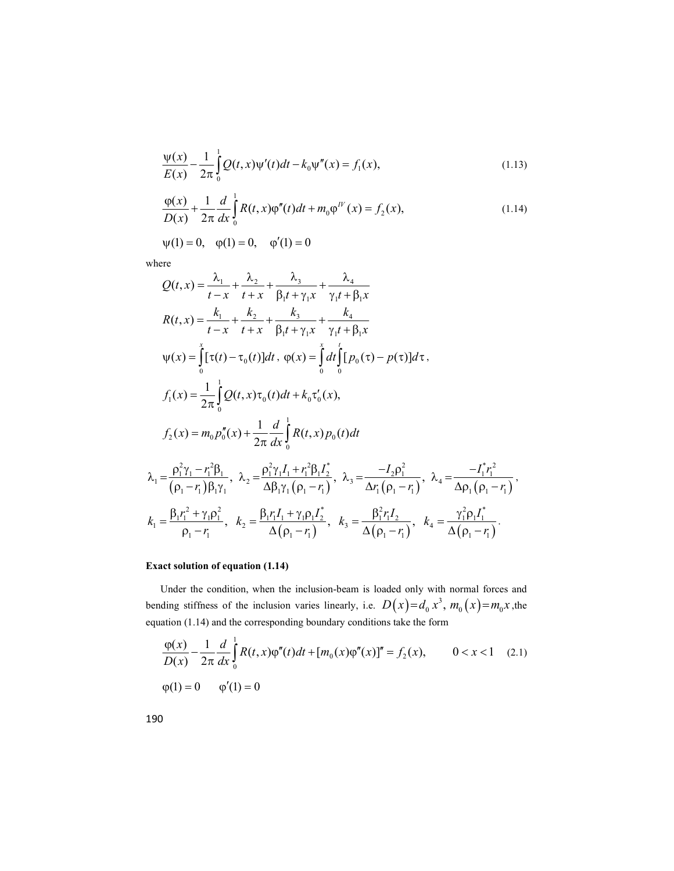$$
\frac{\Psi(x)}{E(x)} - \frac{1}{2\pi} \int_{0}^{1} Q(t, x) \Psi'(t) dt - k_0 \Psi''(x) = f_1(x),
$$
\n(1.13)

$$
\frac{\varphi(x)}{D(x)} + \frac{1}{2\pi} \frac{d}{dx} \int_{0}^{1} R(t, x) \varphi''(t) dt + m_0 \varphi^{IV}(x) = f_2(x),
$$
\n(1.14)

$$
\psi(1) = 0
$$
,  $\phi(1) = 0$ ,  $\phi'(1) = 0$ 

where

$$
\frac{\varphi(x)}{D(x)} + \frac{1}{2\pi} \frac{d}{dx} \int_{0}^{x} R(t, x) \varphi''(t) dt + m_{0} \varphi^{IV}(x) = f_{2}(x),
$$
\n(1.14)  
\n
$$
\psi(1) = 0, \quad \varphi(1) = 0, \quad \varphi'(1) = 0
$$
\nwhere  
\n
$$
Q(t, x) = \frac{\lambda_{1}}{t - x} + \frac{\lambda_{2}}{t + x} + \frac{\lambda_{3}}{\beta_{1}t + \gamma_{1}x} + \frac{\lambda_{4}}{\gamma_{1}t + \beta_{1}x}
$$
\n
$$
R(t, x) = \frac{k_{1}}{t - x} + \frac{k_{2}}{t + x} + \frac{k_{3}}{\beta_{1}t + \gamma_{1}x} + \frac{k_{4}}{\gamma_{1}t + \beta_{1}x}
$$
\n
$$
\psi(x) = \int_{0}^{x} [\tau(t) - \tau_{0}(t)] dt, \quad \varphi(x) = \int_{0}^{x} dt \int_{0}^{t} [p_{0}(\tau) - p(\tau)] d\tau.
$$
\n
$$
f_{1}(x) = \frac{1}{2\pi} \int_{0}^{1} Q(t, x) \tau_{0}(t) dt + k_{0} \tau_{0}'(x),
$$
\n
$$
f_{2}(x) = m_{0} p_{0}''(x) + \frac{1}{2\pi} \frac{d}{dx} \int_{0}^{1} R(t, x) p_{0}(t) dt
$$
\n
$$
\lambda_{1} = \frac{\rho_{1}^{2} \gamma_{1} - r_{1}^{2} \beta_{1}}{(\rho_{1} - r_{1}) \beta_{1} \gamma_{1}}, \quad \lambda_{2} = \frac{\rho_{1}^{2} \gamma_{1} I_{1} + r_{1}^{2} \beta_{1} I_{2}^{*}}{\Delta \beta_{1} \gamma_{1} (\rho_{1} - r_{1})}, \quad \lambda_{3} = \frac{-I_{2} \rho_{1}^{2}}{\Delta \gamma_{1} (\rho_{1} - r_{1})}, \quad \lambda_{4} = \frac{-I_{1}^{*} r_{1}^{2}}{\Delta \rho_{1} (\rho_{1} - r_{1})},
$$
\n
$$
k_{1} = \frac{\beta_{1} r_{1}^{2} + \gamma_{1} \rho_{1}^{2}}{\rho_{1} - r_{1
$$

# Exact solution of equation (1.14)

Under the condition, when the inclusion-beam is loaded only with normal forces and bending stiffness of the inclusion varies linearly, i.e.  $D(x)=d_0x^3$ ,  $m_0(x)=m_0x$ , the equation (1.14) and the corresponding boundary conditions take the form

$$
\frac{\varphi(x)}{D(x)} - \frac{1}{2\pi} \frac{d}{dx} \int_{0}^{1} R(t, x)\varphi''(t)dt + [m_0(x)\varphi''(x)]'' = f_2(x), \qquad 0 < x < 1 \quad (2.1)
$$
  

$$
\varphi(1) = 0 \qquad \varphi'(1) = 0
$$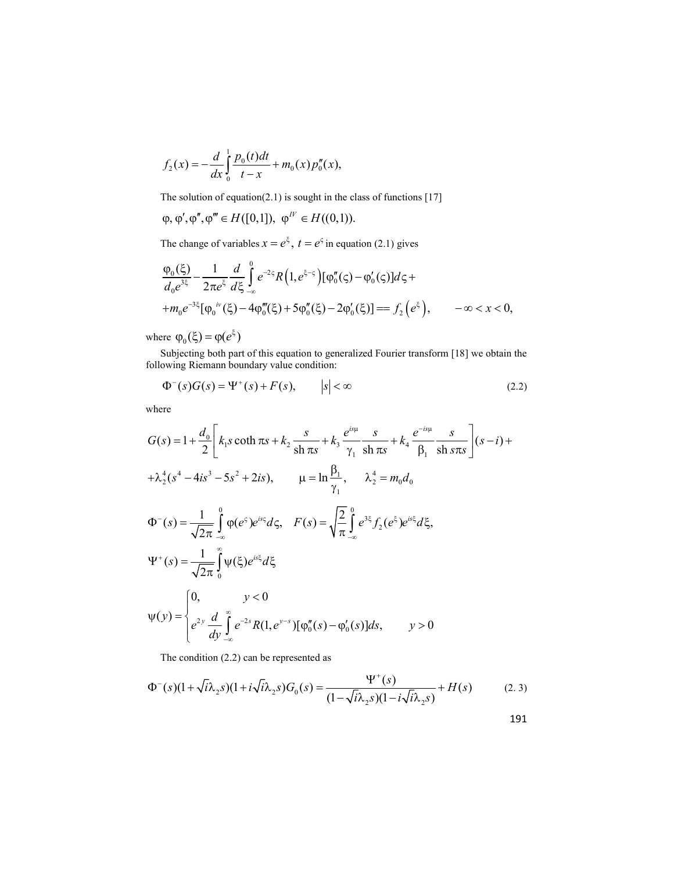$$
f_2(x) = -\frac{d}{dx} \int_0^1 \frac{p_0(t)dt}{t-x} + m_0(x) p_0''(x),
$$

The solution of equation(2.1) is sought in the class of functions [17]

$$
\varphi, \varphi', \varphi'', \varphi''' \in H([0,1]), \varphi^{I'} \in H((0,1)).
$$

The change of variables  $x = e^{\xi}$ ,  $t = e^{\varsigma}$  in equation (2.1) gives

$$
f_2(x) = -\frac{d}{dx} \int_0^1 \frac{p_0(t)dt}{t-x} + m_0(x) p_0''(x),
$$
  
The solution of equation(2.1) is sought in the class of functions [17]  
 $\varphi, \varphi', \varphi'', \varphi''' \in H([0,1]), \varphi''' \in H((0,1)).$   
The change of variables  $x = e^{\xi}, t = e^{\varsigma}$  in equation (2.1) gives  

$$
\frac{\varphi_0(\xi)}{d_0 e^{3\xi}} - \frac{1}{2\pi e^{\xi}} \frac{d}{d\xi} \int_{-\infty}^0 e^{-2\varsigma} R\left(1, e^{\xi-\varsigma}\right) [\varphi_0''(\varsigma) - \varphi_0'(\varsigma)] d\varsigma +
$$

$$
+ m_0 e^{-3\xi} [\varphi_0'''(\xi) - 4\varphi_0'''(\xi) + 5\varphi_0''(\xi) - 2\varphi_0'(\xi)] = f_2(e^{\xi}), \qquad -\infty < x < 0,
$$
  
are  $\varphi_0(\xi) = \varphi(e^{\xi})$   
Subjecting both part of this equation to generalized Fourier transform [18] we obtain the  
owing Riemann boundary value condition:

where  $\varphi_0(\xi) = \varphi(e^{\xi})$ 

Subjecting both part of this equation to generalized Fourier transform [18] we obtain the following Riemann boundary value condition:

$$
\Phi^-(s)G(s) = \Psi^+(s) + F(s), \qquad |s| < \infty \tag{2.2}
$$

where

$$
G(s) = 1 + \frac{d_0}{2} \left[ k_1 s \coth \pi s + k_2 \frac{s}{\sin \pi s} + k_3 \frac{e^{is\mu}}{\gamma_1} \frac{s}{\sin \pi s} + k_4 \frac{e^{-is\mu}}{\beta_1} \frac{s}{\sin s \pi s} \right] (s - i) +
$$
  
+  $\lambda_2^4 (s^4 - 4is^3 - 5s^2 + 2is), \qquad \mu = \ln \frac{\beta_1}{\gamma_1}, \qquad \lambda_2^4 = m_0 d_0$   

$$
\Phi^-(s) = \frac{1}{\sqrt{2\pi}} \int_{-\infty}^0 \varphi(e^s) e^{is\varsigma} d\varsigma, \qquad F(s) = \sqrt{\frac{2}{\pi}} \int_{-\infty}^0 e^{3\xi} f_2(e^{\xi}) e^{is\varsigma} d\xi,
$$
  

$$
\Psi^+(s) = \frac{1}{\sqrt{2\pi}} \int_0^{\infty} \psi(\xi) e^{is\xi} d\xi
$$
  

$$
\psi(y) = \begin{cases} 0, & y < 0 \\ e^{2y} \frac{d}{dy} \int_{-\infty}^{\infty} e^{-2s} R(1, e^{y-s}) [\varphi_0''(s) - \varphi_0'(s)] ds, & y > 0 \end{cases}
$$

The condition (2.2) can be represented as

$$
\Phi^-(s)(1+\sqrt{i}\lambda_2 s)(1+i\sqrt{i}\lambda_2 s)G_0(s) = \frac{\Psi^+(s)}{(1-\sqrt{i}\lambda_2 s)(1-i\sqrt{i}\lambda_2 s)} + H(s) \tag{2.3}
$$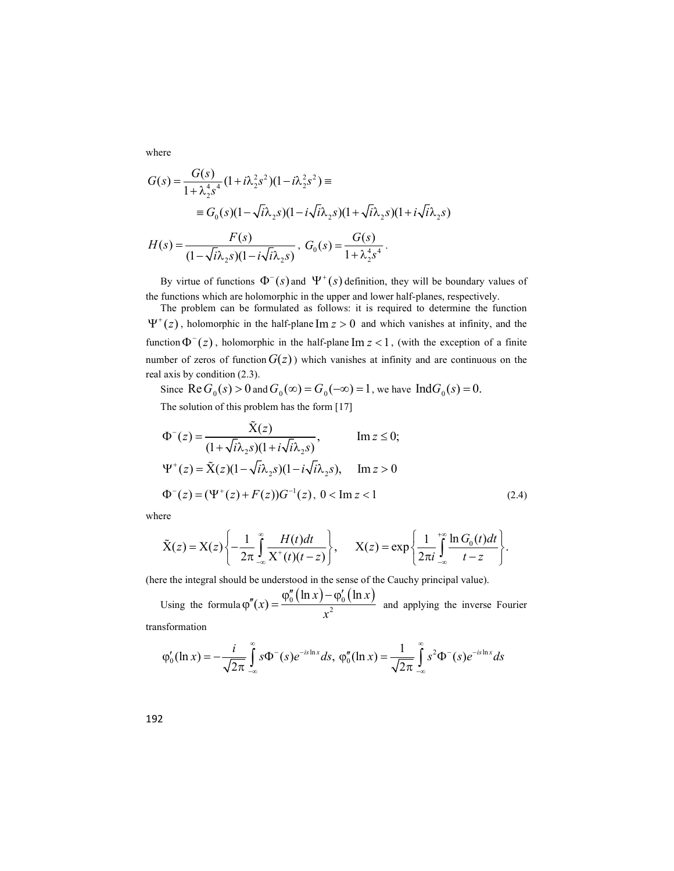where

$$
G(s) = \frac{G(s)}{1 + \lambda_2^4 s^4} (1 + i\lambda_2^2 s^2)(1 - i\lambda_2^2 s^2) \equiv
$$
  
=  $G_0(s)(1 - \sqrt{i}\lambda_2 s)(1 - i\sqrt{i}\lambda_2 s)(1 + \sqrt{i}\lambda_2 s)(1 + i\sqrt{i}\lambda_2 s)$   

$$
H(s) = \frac{F(s)}{s^4 s^4} , G_0(s) = \frac{G(s)}{1 - s^4 s^4}.
$$

$$
H(s) = \frac{F(s)}{(1 - \sqrt{i\lambda_2 s})(1 - i\sqrt{i\lambda_2 s})}, \ G_0(s) = \frac{G(s)}{1 + \lambda_2^4 s^4}.
$$

By virtue of functions  $\Phi^-(s)$  and  $\Psi^+(s)$  definition, they will be boundary values of the functions which are holomorphic in the upper and lower half-planes, respectively.

The problem can be formulated as follows: it is required to determine the function  $\Psi^+(z)$ , holomorphic in the half-plane Im  $z > 0$  and which vanishes at infinity, and the function  $\Phi^{-}(z)$ , holomorphic in the half-plane Im  $z < 1$ , (with the exception of a finite number of zeros of function  $G(z)$ ) which vanishes at infinity and are continuous on the real axis by condition (2.3).

Since  $\text{Re } G_0(s) > 0$  and  $G_0(\infty) = G_0(-\infty) = 1$ , we have  $\text{Ind } G_0(s) = 0$ .

The solution of this problem has the form [17]

$$
\Phi^{-}(z) = \frac{\tilde{X}(z)}{(1 + \sqrt{i\lambda_{2}s)(1 + i\sqrt{i\lambda_{2}s})}}, \qquad \text{Im } z \le 0; \n\Psi^{+}(z) = \tilde{X}(z)(1 - \sqrt{i\lambda_{2}s})(1 - i\sqrt{i\lambda_{2}s}), \qquad \text{Im } z > 0 \n\Phi^{-}(z) = (\Psi^{+}(z) + F(z))G^{-1}(z), \ 0 < \text{Im } z < 1
$$
\n(2.4)

where

$$
\tilde{X}(z) = X(z) \left\{ -\frac{1}{2\pi} \int_{-\infty}^{\infty} \frac{H(t)dt}{X^+(t)(t-z)} \right\}, \qquad X(z) = \exp \left\{ \frac{1}{2\pi i} \int_{-\infty}^{+\infty} \frac{\ln G_0(t)dt}{t-z} \right\}.
$$

(here the integral should be understood in the sense of the Cauchy principal value).

Using the formula  $\varphi''(x) = \frac{\varphi_0''(\ln x) - \varphi_0'(\ln x)}{x^2}$  and applying the inverse  $\ln x$ ) –  $\varphi_0'$  ( $\ln x$  $(x) =$  $f(x) = \frac{\varphi_0''(\ln x) - \varphi_0'(\ln x)}{2}$  $x^2$  $\varphi_0''(\ln x) - \varphi_0'(\ln x)$  $\varphi''(x) = \frac{\varphi_0(\ln x) - \varphi_0(\ln x)}{2}$  and applying the inverse Fourier transformation

 $\overline{c}$ 

 $-\infty$ 

 $\frac{1}{\pi}$ 

ln  $\int_0^t (\ln x) = -\frac{1}{\sqrt{2}} \int s \Phi^{-}(s) e^{-is \ln x} ds, \; \phi_t$  $f(x) = -\frac{i}{\sqrt{2}} \int_{0}^{\infty} s \Phi^{-}(s) e^{-is \ln x} ds,$  $\varphi_0'(\ln x) = -\frac{l}{\sqrt{2}} \int s \Phi^{-1}$  $=\int_{\pi}^{\infty} s\Phi^{-}(s)e^{-is\ln x}ds, \ \varphi_{0}''(\ln x) = \frac{1}{\sqrt{2\pi}}\int_{-\infty}^{\infty} s^{2}\Phi^{-}(s)e^{-is\ln x}$  $(\ln x) = \frac{1}{\sqrt{2}} \int_{0}^{\infty} s^2 \Phi^{-}(s) e^{-s}$  $f(x) = \frac{1}{\sqrt{2}} \int_0^{\infty} s^2 \Phi^{-}(s) e^{-is \ln x} ds$  $\varphi_0''(\ln x) = \frac{1}{\sqrt{2\pi}} \int s^2 \Phi^{-1}$ 

 $-\infty$ 

 $\mathbf{2}$ 

$$
192 \\
$$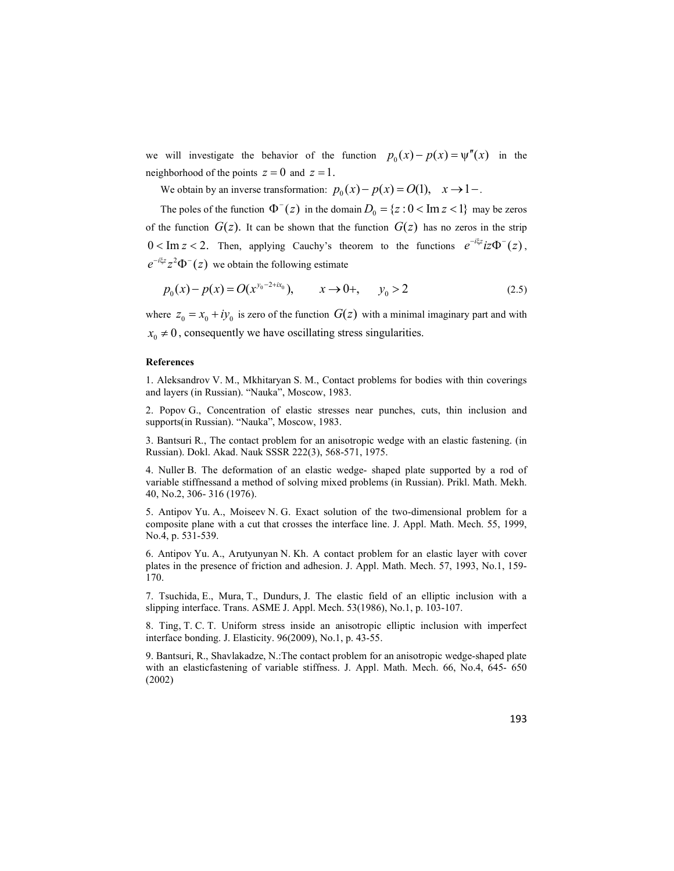we will investigate the behavior of the function  $p_0(x) - p(x) = \psi''(x)$  in the neighborhood of the points  $z = 0$  and  $z = 1$ .

We obtain by an inverse transformation:  $p_0(x) - p(x) = O(1)$ ,  $x \to 1$ .

The poles of the function  $\Phi^{-}(z)$  in the domain  $D_0 = \{z : 0 < \text{Im } z < 1\}$  may be zeros of the function  $G(z)$ . It can be shown that the function  $G(z)$  has no zeros in the strip  $0 < \text{Im } z < 2$ . Then, applying Cauchy's theorem to the functions  $e^{-i \xi z} i z \Phi^{-}(z)$ ,  $e^{-i\xi z} z^2 \Phi^{-}(z)$  we obtain the following estimate

$$
p_0(x) - p(x) = O(x^{y_0 - 2 + ix_0}), \qquad x \to 0+, \qquad y_0 > 2
$$
 (2.5)

where  $z_0 = x_0 + iy_0$  is zero of the function  $G(z)$  with a minimal imaginary part and with  $x_0 \neq 0$ , consequently we have oscillating stress singularities.

### References

1. Aleksandrov V. M., Mkhitaryan S. M., Contact problems for bodies with thin coverings and layers (in Russian). "Nauka", Moscow, 1983.

2. Popov G., Concentration of elastic stresses near punches, cuts, thin inclusion and supports(in Russian). "Nauka", Moscow, 1983.

3. Bantsuri R., The contact problem for an anisotropic wedge with an elastic fastening. (in Russian). Dokl. Akad. Nauk SSSR 222(3), 568-571, 1975.

4. Nuller B. The deformation of an elastic wedge- shaped plate supported by a rod of variable stiffnessand a method of solving mixed problems (in Russian). Prikl. Math. Mekh. 40, No.2, 306- 316 (1976).

5. Antipov Yu. A., Moiseev N. G. Exact solution of the two-dimensional problem for a composite plane with a cut that crosses the interface line. J. Appl. Math. Mech. 55, 1999, No.4, p. 531-539.

6. Antipov Yu. A., Arutyunyan N. Kh. A contact problem for an elastic layer with cover plates in the presence of friction and adhesion. J. Appl. Math. Mech. 57, 1993, No.1, 159- 170.

7. Tsuchida, E., Mura, T., Dundurs, J. The elastic field of an elliptic inclusion with a slipping interface. Trans. ASME J. Appl. Mech. 53(1986), No.1, p. 103-107.

8. Ting, T. C. T. Uniform stress inside an anisotropic elliptic inclusion with imperfect interface bonding. J. Elasticity. 96(2009), No.1, p. 43-55.

9. Bantsuri, R., Shavlakadze, N.:The contact problem for an anisotropic wedge-shaped plate with an elasticfastening of variable stiffness. J. Appl. Math. Mech. 66, No.4, 645- 650 (2002)